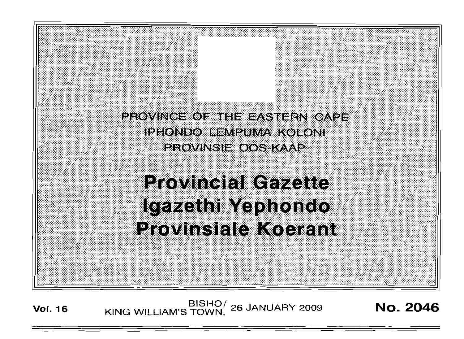PROVINCE OF THE EASTERN CAPE IPHONDO LEMPUMA KOLONI PROVINSIE OOS KAAP

# **Provincial Gazette** Igazethi Yephondo **Provinsiale Koerant**

**Vol. <sup>16</sup>** SISHO/ KING WILLIAM'S TOWN, <sup>26</sup> JANUARY <sup>2009</sup> No. 2046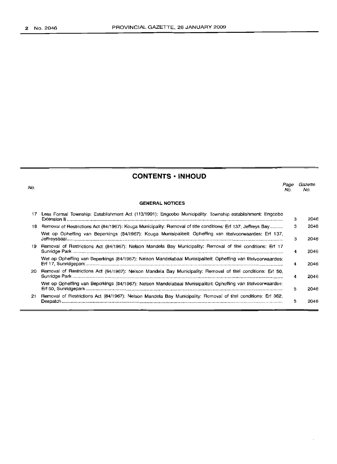No.

## **CONTENTS • INHOUD**

*Page Gazette* No. No.

|    | <b>GENERAL NOTICES</b>                                                                                           |   |      |
|----|------------------------------------------------------------------------------------------------------------------|---|------|
|    | 17 Less Formal Township: Establishment Act (113/1991): Engcobo Municipality: Township establishment: Engcobo     | З | 2046 |
|    | 18 Removal of Restrictions Act (84/1967): Kouga Municipality: Removal of title conditions: Erf 137, Jeffreys Bay | з | 2046 |
|    | Wet op Opheffing van Beperkings (84/1967): Kouga Munisipaliteit: Opheffing van titelvoorwaardes: Erf 137,        | з | 2046 |
| 19 | Removal of Restrictions Act (84/1967): Nelson Mandela Bay Municipality: Removal of titel conditions: Erf 17      | 4 | 2046 |
|    | Wet op Opheffing van Beperkings (84/1967): Nelson Mandelabaai Munisipaliteit: Opheffing van titelvoorwaardes:    | 4 | 2046 |
| 20 | Removal of Restrictions Act (84/1967): Nelson Mandela Bay Municipality: Removal of titel conditions: Erf 50,     | 4 | 2046 |
|    | Wet op Opheffing van Beperkings (84/1967); Nelson Mandelabaai Munisipaliteit: Opheffing van titelvoorwaardes:    | 5 | 2046 |
| 21 | Removal of Restrictions Act (84/1967); Nelson Mandela Bay Municipality: Removal of titel conditions: Erf 362,    | 5 | 2046 |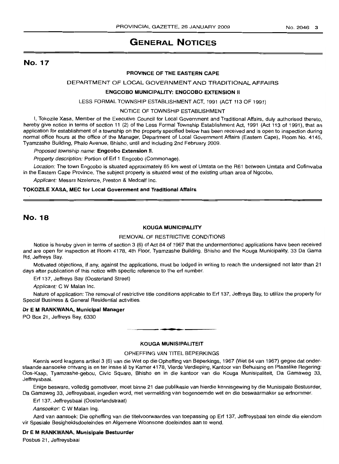## **GENERAL NOTICES**

## No. 17

#### **PROVINCE OF THE EASTERN CAPE**

## DEPARTMENT OF LOCAL GOVERNMENT AND TRADITIONAL AFFAIRS

#### **ENGCOBO MUNICIPALITY: ENGCOBO EXTENSION II**

LESS FORMAL TOWNSHIP ESTABLISHMENT ACT, 1991 (ACT 113 OF 1991)

#### NOTICE OF TOWNSHIP ESTABLISHMENT

I, Tokozile Xasa, Member of the Executive Council for Local Government and Traditional Affairs, duly authorised thereto, hereby give notice in terms of section 11 (2) of the Less Formal Township Establishment Act, 1991 (Act 113 of 1991), that an application for establishment of a township on the property specified below has been received and is open to inspection during normal office hours at the office of the Manager, Department of Local Government Affairs (Eastern Cape), Room No. 4145, Tyamzashe Building, Phalo Avenue, Bhisho, until and including 2nd February 2009.

Proposed township name: **Engcobo Extension II.**

Property description: Portion of Ert 1 Engcobo (Commonage).

Location: The town Engcobo is situated approximately 85 km west of Umtata on the R61 between Umtata and Cofimvaba in the Eastern Cape Province. The subject property is situated west of the existing urban area of Ngcobo.

Applicant: Messrs Nzelenze, Preston & Medcalf Inc.

#### **TOKOZILE** XASA, **MEC for Local Government and Traditional Affairs**

## No. 18

#### **KOUGA MUNICIPALITY**

#### REMOVAL OF RESTRICTIVE CONDITIONS

Notice is hereby given in terms of section 3 (6) of Act 84 of 1967 that the undermentioned applications have been received and are open for inspection at Room 4178, 4th Floor, Tyamzashe Building, Bhisho and the Kouga Municipality, 33 Da Gama Rd, Jeffreys Bay.

Motivated objections, if any, against the applications, must be lodged in writing to reach the undersigned not later than 21 days after publication of this notice with specific reference to the ert number.

Ert 137, Jeffreys Bay (Oosterland Street)

Applicant: C W Malan Inc.

Nature of application: The removal of restrictive title conditions applicable to Erf 137, Jeffreys Bay, to utilize the property for Special Business & General Residential activities.

#### **Dr E M RANKWANA, Municipal Manager**

PO Box 21, Jeffreys Bay, 6330

#### **KOUGA MUNISIPALITEIT**

**• •**

#### OPHEFFING VAN TITEL BEPERKINGS

Kennis word kraqtens artikel 3 (6) van die Wet op die Opheffing van Beperkings, 1967 (Wet 84 van 1967) gegee dat onderstaande aansoeke ontvang is en ter insae lê by Kamer 4178, Vierde Verdieping, Kantoor van Behuising en Plaaslike Regering: Oos-Kaap, Tyamzashe-gebou, Civic Square, Bhisho en in die kantoor van die Kouga Munisipaliteit, Da Gamaweg 33, Jeffreysbaai.

Enige besware, volledig gemotiveer, rnoet binne 21 dae publikasie van hierdie kennisgewing by die Munisipale Bestuurder, Da Gamaweg 33, Jeffreysbaai, ingedien word, met vermelding van bogenoemde wet en die beswaarmaker se erfnommer.

Erf 137, Jeffreysbaai (Oosterlandstraat)

Aansoeker: C W Malan Ing.

Aard van aansoek: Die opheffing van die titelvoorwaardes van toepassing op Erf 137, Jeffreysbaai ten einde die eiendom vir Spesiale Besigheidsdoeleindes en Aigemene Woonsone doeleindes aan te wend.

#### **Dr E M RANKWANA, Munisipale Bestuurder**

Posbus 21, Jeffreysbaai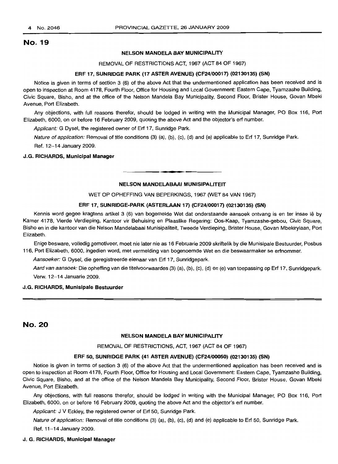## No. 19

#### NELSON MANDELA BAY MUNICIPALITY

REMOVAL OF RESTRICTIONS ACT, 1967 (ACT 84 OF 1967)

#### ERF 17, SUNRIDGE PARK (17 ASTER AVENUE) (CF24/00017) (02130135) (SN)

Notice is given in terms of section 3 (6) of the above Act that the undermentioned application has been received and is open to inspection at Room 4178, Fourth Floor, Office for Housing and Local Government: Eastern Cape, Tyamzashe Building, Civic Square, Bisho, and at the office of the Nelson Mandela Bay Municipality, Second Floor, Brister House, Govan Mbeki Avenue, Port Elizabeth.

Any objections, with full reasons therefor, should be lodged in writing with the Municipal Manager, PO Box 116, Port Elizabeth, 6000, on or before 16 February 2009, quoting the above Act and the objector's erf number.

Applicant: G Dysel, the registered owner of Erf 17, Sunridge Park.

Nature of application: Removal of title conditions (3) (a), (b), (c), (d) and (e) applicable to Erf 17, Sunridge Park. Ref. 12-14 January 2009.

#### J.G. RICHARDS, Municipal Manager

#### NELSON MANDELABAAI MUNISIPALITEIT

**• •**

WET OP OPHEFFING VAN BEPERKINGS, 1967 (WET 84 VAN 1967)

#### ERF 17, SUNRIDGE-PARK (ASTERLAAN 17) (CF24/00017) (02130135) (SN)

Kennis word gegee kragtens artikel 3 (6) van bogemelde Wet dat onderstaande aansoek ontvang is en ter insae lê by Kamer 4178, Vierde Verdieping, Kantoor vir Behuising en Plaaslike Regering: Oos-Kaap, Tyamzashe-gebou, Civic Square, Bisho en in die kantoor van die Nelson Mandelabaai Munisipaliteit, Tweede Verdieping, Brister House, Govan Mbekirylaan, Port Elizabeth.

Enige besware, volledig gemotiveer, moet nie later nie as 16 Februarie 2009 skriftelik by die Munisipale Bestuurder, Posbus 116, Port Elizabeth, 6000, ingedien word, met vermelding van bogenoemde Wet en die beswaarmaker se erfnommer.

Aansoeker: G Dysel, die geregistreerde eienaar van Erf 17, Sunridgepark.

Aard van aansoek: Die opheffing van die titelvoorwaardes (3) (a), (b), (c), (d) en (e) van toepassing op Erf 17, Sunridgepark. Verw. 12-14 Januarie 2009.

#### J.G. RICHARDS, Munisipale Bestuurder

## No. 20

#### NELSON MANDELA BAY MUNICIPALITY

#### REMOVAL OF RESTRICTIONS, ACT, 1967 (ACT 84 OF 1967)

#### ERF 50, SUNRIDGE PARK (41 ASTER AVENUE) (CF24/00050) (02130135) (SN)

Notice is given in terms of section 3 (6) of the above Act that the undermentioned application has been received and is open to inspection at Room 4178, Fourth Floor, Office for Housing and Local Government: Eastern Cape, Tyamzashe Building, Civic Square, Bisho, and at the office of the Nelson Mandela Bay Municipality, Second Floor, Brister House, Govan Mbeki Avenue, Port Elizabeth.

Any objections, with full reasons therefor, should be lodged in writing with the Municipal Manager, PO Box 116, Port Elizabeth, 6000, on or before 16 February 2009, quoting the above Act and the objector's erf number.

Applicant: J V Eckley, the registered owner of Erf 50, Sunridge Park.

Nature of application: Removal of title conditions (3) (a), (b), (c), (d) and (e) applicable to Erf 50, Sunridge Park. Ref. 11-14 January 2009.

## J. G. RICHARDS, Municipal Manager